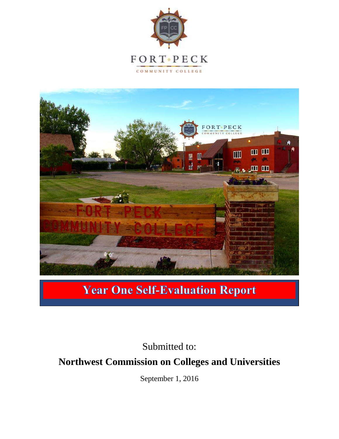



### **Year One Self-Evaluation Report**

Submitted to: **Northwest Commission on Colleges and Universities**

September 1, 2016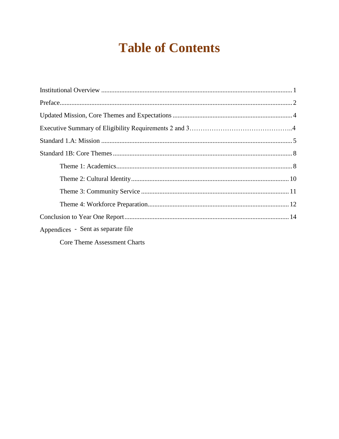# **Table of Contents**

| Appendices - Sent as separate file |  |
|------------------------------------|--|
| Core Theme Assessment Charts       |  |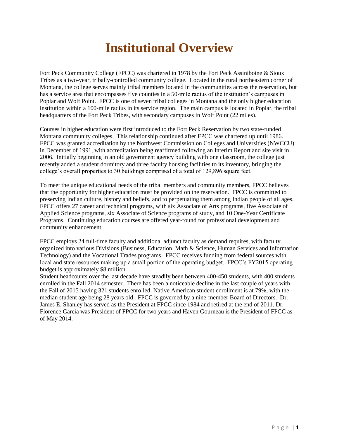# **Institutional Overview**

Fort Peck Community College (FPCC) was chartered in 1978 by the Fort Peck Assiniboine & Sioux Tribes as a two-year, tribally-controlled community college. Located in the rural northeastern corner of Montana, the college serves mainly tribal members located in the communities across the reservation, but has a service area that encompasses five counties in a 50-mile radius of the institution's campuses in Poplar and Wolf Point. FPCC is one of seven tribal colleges in Montana and the only higher education institution within a 100-mile radius in its service region. The main campus is located in Poplar, the tribal headquarters of the Fort Peck Tribes, with secondary campuses in Wolf Point (22 miles).

Courses in higher education were first introduced to the Fort Peck Reservation by two state-funded Montana community colleges. This relationship continued after FPCC was chartered up until 1986. FPCC was granted accreditation by the Northwest Commission on Colleges and Universities (NWCCU) in December of 1991, with accreditation being reaffirmed following an Interim Report and site visit in 2006. Initially beginning in an old government agency building with one classroom, the college just recently added a student dormitory and three faculty housing facilities to its inventory, bringing the college's overall properties to 30 buildings comprised of a total of 129,896 square feet.

To meet the unique educational needs of the tribal members and community members, FPCC believes that the opportunity for higher education must be provided on the reservation. FPCC is committed to preserving Indian culture, history and beliefs, and to perpetuating them among Indian people of all ages. FPCC offers 27 career and technical programs, with six Associate of Arts programs, five Associate of Applied Science programs, six Associate of Science programs of study, and 10 One-Year Certificate Programs. Continuing education courses are offered year-round for professional development and community enhancement.

FPCC employs 24 full-time faculty and additional adjunct faculty as demand requires, with faculty organized into various Divisions (Business, Education, Math & Science, Human Services and Information Technology) and the Vocational Trades programs. FPCC receives funding from federal sources with local and state resources making up a small portion of the operating budget. FPCC's FY2015 operating budget is approximately \$8 million.

Student headcounts over the last decade have steadily been between 400-450 students, with 400 students enrolled in the Fall 2014 semester. There has been a noticeable decline in the last couple of years with the Fall of 2015 having 321 students enrolled. Native American student enrollment is at 79%, with the median student age being 28 years old. FPCC is governed by a nine-member Board of Directors. Dr. James E. Shanley has served as the President at FPCC since 1984 and retired at the end of 2011. Dr. Florence Garcia was President of FPCC for two years and Haven Gourneau is the President of FPCC as of May 2014.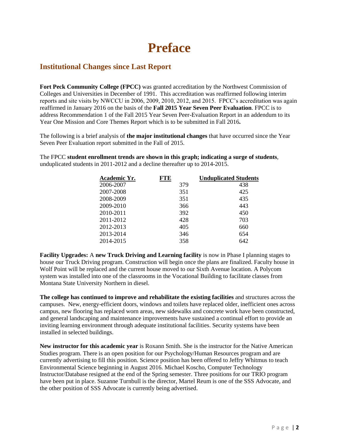### **Preface**

#### **Institutional Changes since Last Report**

**Fort Peck Community College (FPCC)** was granted accreditation by the Northwest Commission of Colleges and Universities in December of 1991. This accreditation was reaffirmed following interim reports and site visits by NWCCU in 2006, 2009, 2010, 2012, and 2015. FPCC's accreditation was again reaffirmed in January 2016 on the basis of the **Fall 2015 Year Seven Peer Evaluation**. FPCC is to address Recommendation 1 of the Fall 2015 Year Seven Peer-Evaluation Report in an addendum to its Year One Mission and Core Themes Report which is to be submitted in Fall 2016**.**

The following is a brief analysis of **the major institutional changes** that have occurred since the Year Seven Peer Evaluation report submitted in the Fall of 2015.

The FPCC **student enrollment trends are shown in this graph; indicating a surge of students**, unduplicated students in 2011-2012 and a decline thereafter up to 2014-2015.

| Academic Yr. | <b>FTE</b> | <b>Unduplicated Students</b> |
|--------------|------------|------------------------------|
| 2006-2007    | 379        | 438                          |
| 2007-2008    | 351        | 425                          |
| 2008-2009    | 351        | 435                          |
| 2009-2010    | 366        | 443                          |
| 2010-2011    | 392        | 450                          |
| 2011-2012    | 428        | 703                          |
| 2012-2013    | 405        | 660                          |
| 2013-2014    | 346        | 654                          |
| 2014-2015    | 358        | 642                          |

**Facility Upgrades:** A **new Truck Driving and Learning facility** is now in Phase I planning stages to house our Truck Driving program. Construction will begin once the plans are finalized. Faculty house in Wolf Point will be replaced and the current house moved to our Sixth Avenue location. A Polycom system was installed into one of the classrooms in the Vocational Building to facilitate classes from Montana State University Northern in diesel.

**The college has continued to improve and rehabilitate the existing facilities** and structures across the campuses. New, energy-efficient doors, windows and toilets have replaced older, inefficient ones across campus, new flooring has replaced worn areas, new sidewalks and concrete work have been constructed, and general landscaping and maintenance improvements have sustained a continual effort to provide an inviting learning environment through adequate institutional facilities. Security systems have been installed in selected buildings.

**New instructor for this academic year** is Roxann Smith. She is the instructor for the Native American Studies program. There is an open position for our Psychology/Human Resources program and are currently advertising to fill this position. Science position has been offered to Jeffry Whitmus to teach Environmental Science beginning in August 2016. Michael Koscho, Computer Technology Instructor/Database resigned at the end of the Spring semester. Three positions for our TRIO program have been put in place. Suzanne Turnbull is the director, Martel Reum is one of the SSS Advocate, and the other position of SSS Advocate is currently being advertised.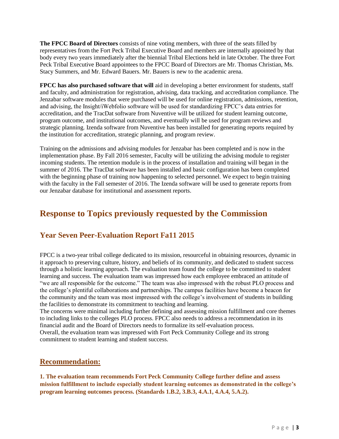**The FPCC Board of Directors** consists of nine voting members, with three of the seats filled by representatives from the Fort Peck Tribal Executive Board and members are internally appointed by that body every two years immediately after the biennial Tribal Elections held in late October. The three Fort Peck Tribal Executive Board appointees to the FPCC Board of Directors are Mr. Thomas Christian, Ms. Stacy Summers, and Mr. Edward Bauers. Mr. Bauers is new to the academic arena.

**FPCC has also purchased software that will** aid in developing a better environment for students, staff and faculty, and administration for registration, advising, data tracking, and accreditation compliance. The Jenzabar software modules that were purchased will be used for online registration, admissions, retention, and advising, the Insight/iWebfolio software will be used for standardizing FPCC's data entries for accreditation, and the TracDat software from Nuventive will be utilized for student learning outcome, program outcome, and institutional outcomes, and eventually will be used for program reviews and strategic planning. Izenda software from Nuventive has been installed for generating reports required by the institution for accreditation, strategic planning, and program review.

Training on the admissions and advising modules for Jenzabar has been completed and is now in the implementation phase. By Fall 2016 semester, Faculty will be utilizing the advising module to register incoming students. The retention module is in the process of installation and training will began in the summer of 2016. The TracDat software has been installed and basic configuration has been completed with the beginning phase of training now happening to selected personnel. We expect to begin training with the faculty in the Fall semester of 2016. The Izenda software will be used to generate reports from our Jenzabar database for institutional and assessment reports.

### **Response to Topics previously requested by the Commission**

#### **Year Seven Peer-Evaluation Report Fa11 2015**

FPCC is a two-year tribal college dedicated to its mission, resourceful in obtaining resources, dynamic in it approach to preserving culture, history, and beliefs of its community, and dedicated to student success through a holistic learning approach. The evaluation team found the college to be committed to student learning and success. The evaluation team was impressed how each employee embraced an attitude of "we are all responsible for the outcome." The team was also impressed with the robust PLO process and the college's plentiful collaborations and partnerships. The campus facilities have become a beacon for the community and the team was most impressed with the college's involvement of students in building the facilities to demonstrate its commitment to teaching and learning.

The concerns were minimal including further defining and assessing mission fulfillment and core themes to including links to the colleges PLO process. FPCC also needs to address a recommendation in its financial audit and the Board of Directors needs to formalize its self-evaluation process. Overall, the evaluation team was impressed with Fort Peck Community College and its strong commitment to student learning and student success.

#### **Recommendation:**

**1. The evaluation team recommends Fort Peck Community College further define and assess mission fulfillment to include especially student learning outcomes as demonstrated in the college's program learning outcomes process. (Standards 1.B.2, 3.B.3, 4.A.1, 4.A.4, 5.A.2).**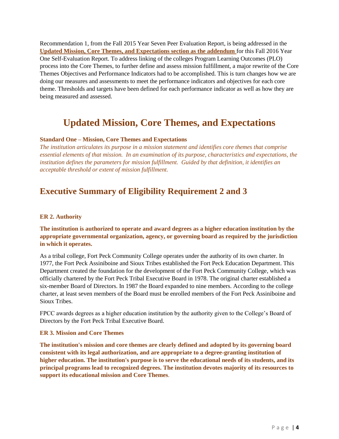Recommendation 1, from the Fall 2015 Year Seven Peer Evaluation Report, is being addressed in the **Updated Mission, Core Themes, and Expectations section as the addendum** for this Fall 2016 Year One Self-Evaluation Report. To address linking of the colleges Program Learning Outcomes (PLO) process into the Core Themes, to further define and assess mission fulfillment, a major rewrite of the Core Themes Objectives and Performance Indicators had to be accomplished. This is turn changes how we are doing our measures and assessments to meet the performance indicators and objectives for each core theme. Thresholds and targets have been defined for each performance indicator as well as how they are being measured and assessed.

### **Updated Mission, Core Themes, and Expectations**

#### **Standard One – Mission, Core Themes and Expectations**

*The institution articulates its purpose in a mission statement and identifies core themes that comprise essential elements of that mission. In an examination of its purpose, characteristics and expectations, the institution defines the parameters for mission fulfillment. Guided by that definition, it identifies an acceptable threshold or extent of mission fulfillment.*

### **Executive Summary of Eligibility Requirement 2 and 3**

#### **ER 2. Authority**

#### **The institution is authorized to operate and award degrees as a higher education institution by the appropriate governmental organization, agency, or governing board as required by the jurisdiction in which it operates.**

As a tribal college, Fort Peck Community College operates under the authority of its own charter. In 1977, the Fort Peck Assiniboine and Sioux Tribes established the Fort Peck Education Department. This Department created the foundation for the development of the Fort Peck Community College, which was officially chartered by the Fort Peck Tribal Executive Board in 1978. The original charter established a six-member Board of Directors. In 1987 the Board expanded to nine members. According to the college charter, at least seven members of the Board must be enrolled members of the Fort Peck Assiniboine and Sioux Tribes.

FPCC awards degrees as a higher education institution by the authority given to the College's Board of Directors by the Fort Peck Tribal Executive Board.

#### **ER 3. Mission and Core Themes**

**The institution's mission and core themes are clearly defined and adopted by its governing board consistent with its legal authorization, and are appropriate to a degree-granting institution of higher education. The institution's purpose is to serve the educational needs of its students, and its principal programs lead to recognized degrees. The institution devotes majority of its resources to support its educational mission and Core Themes***.*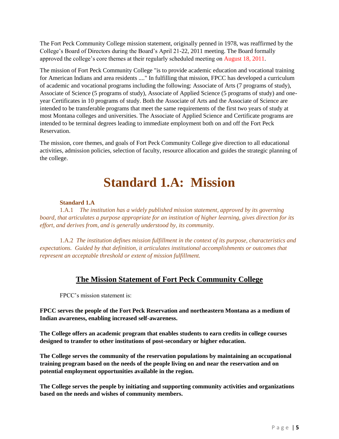The Fort Peck Community College mission statement, originally penned in 1978, was reaffirmed by the College's Board of Directors during the Board's April 21-22, 2011 meeting. The Board formally approved the college's core themes at their regularly scheduled meeting on August 18, 2011.

The mission of Fort Peck Community College "is to provide academic education and vocational training for American Indians and area residents ...." In fulfilling that mission, FPCC has developed a curriculum of academic and vocational programs including the following: Associate of Arts (7 programs of study), Associate of Science (5 programs of study), Associate of Applied Science (5 programs of study) and oneyear Certificates in 10 programs of study. Both the Associate of Arts and the Associate of Science are intended to be transferable programs that meet the same requirements of the first two years of study at most Montana colleges and universities. The Associate of Applied Science and Certificate programs are intended to be terminal degrees leading to immediate employment both on and off the Fort Peck Reservation.

The mission, core themes, and goals of Fort Peck Community College give direction to all educational activities, admission policies, selection of faculty, resource allocation and guides the strategic planning of the college.

### **Standard 1.A: Mission**

#### **Standard 1.A**

1.A.1 *The institution has a widely published mission statement, approved by its governing board, that articulates a purpose appropriate for an institution of higher learning, gives direction for its effort, and derives from, and is generally understood by, its community.*

1.A.2 *The institution defines mission fulfillment in the context of its purpose, characteristics and expectations. Guided by that definition, it articulates institutional accomplishments or outcomes that represent an acceptable threshold or extent of mission fulfillment.*

#### **The Mission Statement of Fort Peck Community College**

FPCC's mission statement is:

**FPCC serves the people of the Fort Peck Reservation and northeastern Montana as a medium of Indian awareness, enabling increased self-awareness.**

**The College offers an academic program that enables students to earn credits in college courses designed to transfer to other institutions of post-secondary or higher education.**

**The College serves the community of the reservation populations by maintaining an occupational training program based on the needs of the people living on and near the reservation and on potential employment opportunities available in the region.**

**The College serves the people by initiating and supporting community activities and organizations based on the needs and wishes of community members.**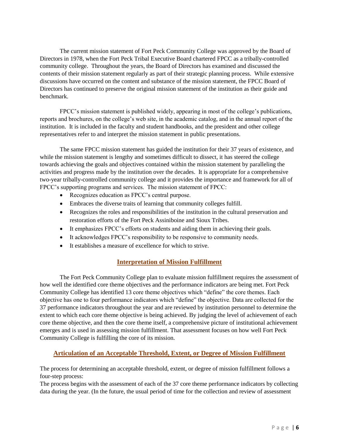The current mission statement of Fort Peck Community College was approved by the Board of Directors in 1978, when the Fort Peck Tribal Executive Board chartered FPCC as a tribally-controlled community college. Throughout the years, the Board of Directors has examined and discussed the contents of their mission statement regularly as part of their strategic planning process. While extensive discussions have occurred on the content and substance of the mission statement, the FPCC Board of Directors has continued to preserve the original mission statement of the institution as their guide and benchmark.

FPCC's mission statement is published widely, appearing in most of the college's publications, reports and brochures, on the college's web site, in the academic catalog, and in the annual report of the institution. It is included in the faculty and student handbooks, and the president and other college representatives refer to and interpret the mission statement in public presentations.

The same FPCC mission statement has guided the institution for their 37 years of existence, and while the mission statement is lengthy and sometimes difficult to dissect, it has steered the college towards achieving the goals and objectives contained within the mission statement by paralleling the activities and progress made by the institution over the decades. It is appropriate for a comprehensive two-year tribally-controlled community college and it provides the importance and framework for all of FPCC's supporting programs and services. The mission statement of FPCC:

- Recognizes education as FPCC's central purpose.
- Embraces the diverse traits of learning that community colleges fulfill.
- Recognizes the roles and responsibilities of the institution in the cultural preservation and restoration efforts of the Fort Peck Assiniboine and Sioux Tribes.
- It emphasizes FPCC's efforts on students and aiding them in achieving their goals.
- It acknowledges FPCC's responsibility to be responsive to community needs.
- It establishes a measure of excellence for which to strive.

#### **Interpretation of Mission Fulfillment**

The Fort Peck Community College plan to evaluate mission fulfillment requires the assessment of how well the identified core theme objectives and the performance indicators are being met. Fort Peck Community College has identified 13 core theme objectives which "define" the core themes. Each objective has one to four performance indicators which "define" the objective. Data are collected for the 37 performance indicators throughout the year and are reviewed by institution personnel to determine the extent to which each core theme objective is being achieved. By judging the level of achievement of each core theme objective, and then the core theme itself, a comprehensive picture of institutional achievement emerges and is used in assessing mission fulfillment. That assessment focuses on how well Fort Peck Community College is fulfilling the core of its mission.

#### **Articulation of an Acceptable Threshold, Extent, or Degree of Mission Fulfillment**

The process for determining an acceptable threshold, extent, or degree of mission fulfillment follows a four-step process:

The process begins with the assessment of each of the 37 core theme performance indicators by collecting data during the year. (In the future, the usual period of time for the collection and review of assessment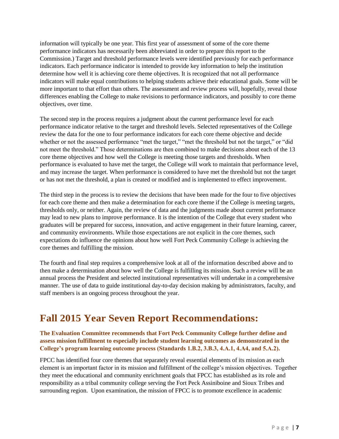information will typically be one year. This first year of assessment of some of the core theme performance indicators has necessarily been abbreviated in order to prepare this report to the Commission.) Target and threshold performance levels were identified previously for each performance indicators. Each performance indicator is intended to provide key information to help the institution determine how well it is achieving core theme objectives. It is recognized that not all performance indicators will make equal contributions to helping students achieve their educational goals. Some will be more important to that effort than others. The assessment and review process will, hopefully, reveal those differences enabling the College to make revisions to performance indicators, and possibly to core theme objectives, over time.

The second step in the process requires a judgment about the current performance level for each performance indicator relative to the target and threshold levels. Selected representatives of the College review the data for the one to four performance indicators for each core theme objective and decide whether or not the assessed performance "met the target," "met the threshold but not the target," or "did" not meet the threshold." Those determinations are then combined to make decisions about each of the 13 core theme objectives and how well the College is meeting those targets and thresholds. When performance is evaluated to have met the target, the College will work to maintain that performance level, and may increase the target. When performance is considered to have met the threshold but not the target or has not met the threshold, a plan is created or modified and is implemented to effect improvement.

The third step in the process is to review the decisions that have been made for the four to five objectives for each core theme and then make a determination for each core theme if the College is meeting targets, thresholds only, or neither. Again, the review of data and the judgments made about current performance may lead to new plans to improve performance. It is the intention of the College that every student who graduates will be prepared for success, innovation, and active engagement in their future learning, career, and community environments. While those expectations are not explicit in the core themes, such expectations do influence the opinions about how well Fort Peck Community College is achieving the core themes and fulfilling the mission.

The fourth and final step requires a comprehensive look at all of the information described above and to then make a determination about how well the College is fulfilling its mission. Such a review will be an annual process the President and selected institutional representatives will undertake in a comprehensive manner. The use of data to guide institutional day-to-day decision making by administrators, faculty, and staff members is an ongoing process throughout the year.

### **Fall 2015 Year Seven Report Recommendations:**

#### **The Evaluation Committee recommends that Fort Peck Community College further define and assess mission fulfillment to especially include student learning outcomes as demonstrated in the College's program learning outcome process (Standards 1.B.2, 3.B.3, 4.A.1, 4.A4, and 5.A.2).**

FPCC has identified four core themes that separately reveal essential elements of its mission as each element is an important factor in its mission and fulfillment of the college's mission objectives. Together they meet the educational and community enrichment goals that FPCC has established as its role and responsibility as a tribal community college serving the Fort Peck Assiniboine and Sioux Tribes and surrounding region. Upon examination, the mission of FPCC is to promote excellence in academic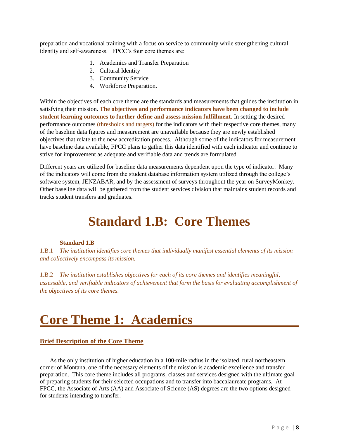preparation and vocational training with a focus on service to community while strengthening cultural identity and self-awareness. FPCC's four core themes are:

- 1. Academics and Transfer Preparation
- 2. Cultural Identity
- 3. Community Service
- 4. Workforce Preparation.

Within the objectives of each core theme are the standards and measurements that guides the institution in satisfying their mission. **The objectives and performance indicators have been changed to include student learning outcomes to further define and assess mission fulfillment.** In setting the desired performance outcomes (thresholds and targets) for the indicators with their respective core themes, many of the baseline data figures and measurement are unavailable because they are newly established objectives that relate to the new accreditation process. Although some of the indicators for measurement have baseline data available, FPCC plans to gather this data identified with each indicator and continue to strive for improvement as adequate and verifiable data and trends are formulated

Different years are utilized for baseline data measurements dependent upon the type of indicator. Many of the indicators will come from the student database information system utilized through the college's software system, JENZABAR, and by the assessment of surveys throughout the year on SurveyMonkey. Other baseline data will be gathered from the student services division that maintains student records and tracks student transfers and graduates.

### **Standard 1.B: Core Themes**

#### **Standard 1.B**

1.B.1 *The institution identifies core themes that individually manifest essential elements of its mission and collectively encompass its mission.*

1.B.2 *The institution establishes objectives for each of its core themes and identifies meaningful, assessable, and verifiable indicators of achievement that form the basis for evaluating accomplishment of the objectives of its core themes.*

# **Core Theme 1: Academics**

#### **Brief Description of the Core Theme**

As the only institution of higher education in a 100-mile radius in the isolated, rural northeastern corner of Montana, one of the necessary elements of the mission is academic excellence and transfer preparation. This core theme includes all programs, classes and services designed with the ultimate goal of preparing students for their selected occupations and to transfer into baccalaureate programs. At FPCC, the Associate of Arts (AA) and Associate of Science (AS) degrees are the two options designed for students intending to transfer.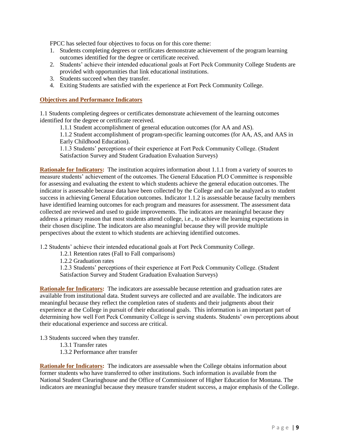FPCC has selected four objectives to focus on for this core theme:

- 1. Students completing degrees or certificates demonstrate achievement of the program learning outcomes identified for the degree or certificate received.
- 2. Students' achieve their intended educational goals at Fort Peck Community College Students are provided with opportunities that link educational institutions.
- 3. Students succeed when they transfer.
- 4. Exiting Students are satisfied with the experience at Fort Peck Community College.

#### **Objectives and Performance Indicators**

1.1 Students completing degrees or certificates demonstrate achievement of the learning outcomes identified for the degree or certificate received.

1.1.1 Student accomplishment of general education outcomes (for AA and AS).

1.1.2 Student accomplishment of program-specific learning outcomes (for AA, AS, and AAS in Early Childhood Education).

1.1.3 Students' perceptions of their experience at Fort Peck Community College. (Student Satisfaction Survey and Student Graduation Evaluation Surveys)

**Rationale for Indicators:** The institution acquires information about 1.1.1 from a variety of sources to measure students' achievement of the outcomes. The General Education PLO Committee is responsible for assessing and evaluating the extent to which students achieve the general education outcomes. The indicator is assessable because data have been collected by the College and can be analyzed as to student success in achieving General Education outcomes. Indicator 1.1.2 is assessable because faculty members have identified learning outcomes for each program and measures for assessment. The assessment data collected are reviewed and used to guide improvements. The indicators are meaningful because they address a primary reason that most students attend college, i.e., to achieve the learning expectations in their chosen discipline. The indicators are also meaningful because they will provide multiple perspectives about the extent to which students are achieving identified outcomes.

1.2 Students' achieve their intended educational goals at Fort Peck Community College.

1.2.1 Retention rates (Fall to Fall comparisons)

1.2.2 Graduation rates

1.2.3 Students' perceptions of their experience at Fort Peck Community College. (Student Satisfaction Survey and Student Graduation Evaluation Surveys)

**Rationale for Indicators:** The indicators are assessable because retention and graduation rates are available from institutional data. Student surveys are collected and are available. The indicators are meaningful because they reflect the completion rates of students and their judgments about their experience at the College in pursuit of their educational goals. This information is an important part of determining how well Fort Peck Community College is serving students. Students' own perceptions about their educational experience and success are critical.

1.3 Students succeed when they transfer.

1.3.1 Transfer rates

1.3.2 Performance after transfer

**Rationale for Indicators:** The indicators are assessable when the College obtains information about former students who have transferred to other institutions. Such information is available from the National Student Clearinghouse and the Office of Commissioner of Higher Education for Montana. The indicators are meaningful because they measure transfer student success, a major emphasis of the College.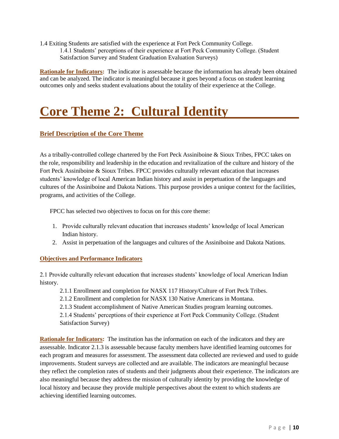1.4 Exiting Students are satisfied with the experience at Fort Peck Community College.

1.4.1 Students' perceptions of their experience at Fort Peck Community College. (Student Satisfaction Survey and Student Graduation Evaluation Surveys)

**Rationale for Indicators:** The indicator is assessable because the information has already been obtained and can be analyzed. The indicator is meaningful because it goes beyond a focus on student learning outcomes only and seeks student evaluations about the totality of their experience at the College.

# **Core Theme 2: Cultural Identity**

#### **Brief Description of the Core Theme**

As a tribally-controlled college chartered by the Fort Peck Assiniboine & Sioux Tribes, FPCC takes on the role, responsibility and leadership in the education and revitalization of the culture and history of the Fort Peck Assiniboine & Sioux Tribes. FPCC provides culturally relevant education that increases students' knowledge of local American Indian history and assist in perpetuation of the languages and cultures of the Assiniboine and Dakota Nations. This purpose provides a unique context for the facilities, programs, and activities of the College.

FPCC has selected two objectives to focus on for this core theme:

- 1. Provide culturally relevant education that increases students' knowledge of local American Indian history.
- 2. Assist in perpetuation of the languages and cultures of the Assiniboine and Dakota Nations.

#### **Objectives and Performance Indicators**

2.1 Provide culturally relevant education that increases students' knowledge of local American Indian history.

2.1.1 Enrollment and completion for NASX 117 History/Culture of Fort Peck Tribes.

2.1.2 Enrollment and completion for NASX 130 Native Americans in Montana.

2.1.3 Student accomplishment of Native American Studies program learning outcomes.

2.1.4 Students' perceptions of their experience at Fort Peck Community College. (Student Satisfaction Survey)

**Rationale for Indicators:** The institution has the information on each of the indicators and they are assessable. Indicator 2.1.3 is assessable because faculty members have identified learning outcomes for each program and measures for assessment. The assessment data collected are reviewed and used to guide improvements. Student surveys are collected and are available. The indicators are meaningful because they reflect the completion rates of students and their judgments about their experience. The indicators are also meaningful because they address the mission of culturally identity by providing the knowledge of local history and because they provide multiple perspectives about the extent to which students are achieving identified learning outcomes.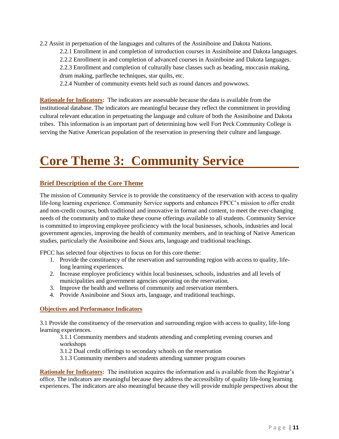2.2 Assist in perpetuation of the languages and cultures of the Assiniboine and Dakota Nations.

2.2.1 Enrollment in and completion of introduction courses in Assiniboine and Dakota languages.

2.2.2 Enrollment in and completion of advanced courses in Assiniboine and Dakota languages.

2.2.3 Enrollment and completion of culturally base classes such as beading, moccasin making, drum making, parfleche techniques, star quilts, etc.

2.2.4 Number of community events held such as round dances and powwows.

**Rationale for Indicators:** The indicators are assessable because the data is available from the institutional database. The indicators are meaningful because they reflect the commitment in providing cultural relevant education in perpetuating the language and culture of both the Assiniboine and Dakota tribes. This information is an important part of determining how well Fort Peck Community College is serving the Native American population of the reservation in preserving their culture and language.

# **Core Theme 3: Community Service**

#### **Brief Description of the Core Theme**

The mission of Community Service is to provide the constituency of the reservation with access to quality life-long learning experience. Community Service supports and enhances FPCC's mission to offer credit and non-credit courses, both traditional and innovative in format and content, to meet the ever-changing needs of the community and to make these course offerings available to all students. Community Service is committed to improving employee proficiency with the local businesses, schools, industries and local government agencies, improving the health of community members, and in teaching of Native American studies, particularly the Assiniboine and Sioux arts, language and traditional teachings.

FPCC has selected four objectives to focus on for this core theme:

- 1. Provide the constituency of the reservation and surrounding region with access to quality, lifelong learning experiences.
- 2. Increase employee proficiency within local businesses, schools, industries and all levels of municipalities and government agencies operating on the reservation.
- 3. Improve the health and wellness of community and reservation members.
- 4. Provide Assiniboine and Sioux arts, language, and traditional teachings.

#### **Objectives and Performance Indicators**

3.1 Provide the constituency of the reservation and surrounding region with access to quality, life-long learning experiences.

3.1.1 Community members and students attending and completing evening courses and workshops

3.1.2 Dual credit offerings to secondary schools on the reservation

3.1.3 Community members and students attending summer program courses

**Rationale for Indicators:** The institution acquires the information and is available from the Registrar's office. The indicators are meaningful because they address the accessibility of quality life-long learning experiences. The indicators are also meaningful because they will provide multiple perspectives about the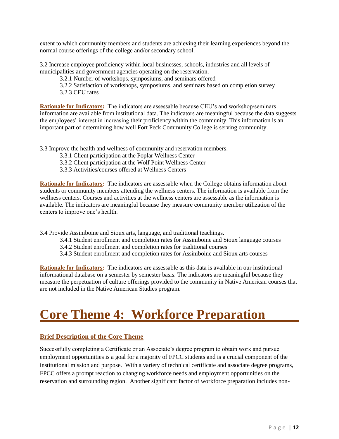extent to which community members and students are achieving their learning experiences beyond the normal course offerings of the college and/or secondary school.

3.2 Increase employee proficiency within local businesses, schools, industries and all levels of municipalities and government agencies operating on the reservation.

3.2.1 Number of workshops, symposiums, and seminars offered

- 3.2.2 Satisfaction of workshops, symposiums, and seminars based on completion survey
- 3.2.3 CEU rates

**Rationale for Indicators:** The indicators are assessable because CEU's and workshop/seminars information are available from institutional data. The indicators are meaningful because the data suggests the employees' interest in increasing their proficiency within the community. This information is an important part of determining how well Fort Peck Community College is serving community.

3.3 Improve the health and wellness of community and reservation members.

- 3.3.1 Client participation at the Poplar Wellness Center
- 3.3.2 Client participation at the Wolf Point Wellness Center
- 3.3.3 Activities/courses offered at Wellness Centers

**Rationale for Indicators:** The indicators are assessable when the College obtains information about students or community members attending the wellness centers. The information is available from the wellness centers. Courses and activities at the wellness centers are assessable as the information is available. The indicators are meaningful because they measure community member utilization of the centers to improve one's health.

3.4 Provide Assiniboine and Sioux arts, language, and traditional teachings.

- 3.4.1 Student enrollment and completion rates for Assiniboine and Sioux language courses
- 3.4.2 Student enrollment and completion rates for traditional courses
- 3.4.3 Student enrollment and completion rates for Assiniboine and Sioux arts courses

**Rationale for Indicators:** The indicators are assessable as this data is available in our institutional informational database on a semester by semester basis. The indicators are meaningful because they measure the perpetuation of culture offerings provided to the community in Native American courses that are not included in the Native American Studies program.

### **Core Theme 4: Workforce Preparation**

#### **Brief Description of the Core Theme**

Successfully completing a Certificate or an Associate's degree program to obtain work and pursue employment opportunities is a goal for a majority of FPCC students and is a crucial component of the institutional mission and purpose. With a variety of technical certificate and associate degree programs, FPCC offers a prompt reaction to changing workforce needs and employment opportunities on the reservation and surrounding region. Another significant factor of workforce preparation includes non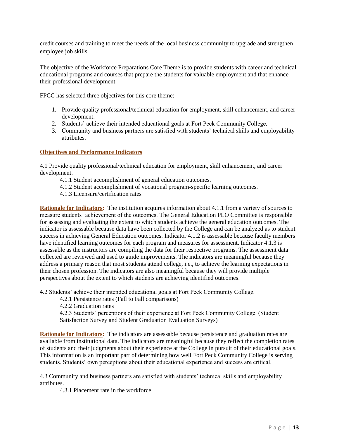credit courses and training to meet the needs of the local business community to upgrade and strengthen employee job skills.

The objective of the Workforce Preparations Core Theme is to provide students with career and technical educational programs and courses that prepare the students for valuable employment and that enhance their professional development.

FPCC has selected three objectives for this core theme:

- 1. Provide quality professional/technical education for employment, skill enhancement, and career development.
- 2. Students' achieve their intended educational goals at Fort Peck Community College.
- 3. Community and business partners are satisfied with students' technical skills and employability attributes.

#### **Objectives and Performance Indicators**

4.1 Provide quality professional/technical education for employment, skill enhancement, and career development.

- 4.1.1 Student accomplishment of general education outcomes.
- 4.1.2 Student accomplishment of vocational program-specific learning outcomes.
- 4.1.3 Licensure/certification rates

**Rationale for Indicators:** The institution acquires information about 4.1.1 from a variety of sources to measure students' achievement of the outcomes. The General Education PLO Committee is responsible for assessing and evaluating the extent to which students achieve the general education outcomes. The indicator is assessable because data have been collected by the College and can be analyzed as to student success in achieving General Education outcomes. Indicator 4.1.2 is assessable because faculty members have identified learning outcomes for each program and measures for assessment. Indicator 4.1.3 is assessable as the instructors are compiling the data for their respective programs. The assessment data collected are reviewed and used to guide improvements. The indicators are meaningful because they address a primary reason that most students attend college, i.e., to achieve the learning expectations in their chosen profession. The indicators are also meaningful because they will provide multiple perspectives about the extent to which students are achieving identified outcomes.

4.2 Students' achieve their intended educational goals at Fort Peck Community College.

- 4.2.1 Persistence rates (Fall to Fall comparisons)
- 4.2.2 Graduation rates

4.2.3 Students' perceptions of their experience at Fort Peck Community College. (Student Satisfaction Survey and Student Graduation Evaluation Surveys)

**Rationale for Indicators:** The indicators are assessable because persistence and graduation rates are available from institutional data. The indicators are meaningful because they reflect the completion rates of students and their judgments about their experience at the College in pursuit of their educational goals. This information is an important part of determining how well Fort Peck Community College is serving students. Students' own perceptions about their educational experience and success are critical.

4.3 Community and business partners are satisfied with students' technical skills and employability attributes.

4.3.1 Placement rate in the workforce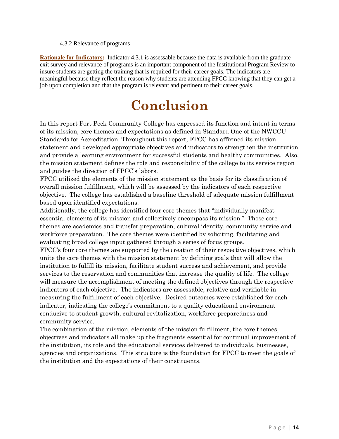#### 4.3.2 Relevance of programs

**Rationale for Indicators:** Indicator 4.3.1 is assessable because the data is available from the graduate exit survey and relevance of programs is an important component of the Institutional Program Review to insure students are getting the training that is required for their career goals. The indicators are meaningful because they reflect the reason why students are attending FPCC knowing that they can get a job upon completion and that the program is relevant and pertinent to their career goals.

### **Conclusion**

In this report Fort Peck Community College has expressed its function and intent in terms of its mission, core themes and expectations as defined in Standard One of the NWCCU Standards for Accreditation. Throughout this report, FPCC has affirmed its mission statement and developed appropriate objectives and indicators to strengthen the institution and provide a learning environment for successful students and healthy communities. Also, the mission statement defines the role and responsibility of the college to its service region and guides the direction of FPCC's labors.

FPCC utilized the elements of the mission statement as the basis for its classification of overall mission fulfillment, which will be assessed by the indicators of each respective objective. The college has established a baseline threshold of adequate mission fulfillment based upon identified expectations.

Additionally, the college has identified four core themes that "individually manifest essential elements of its mission and collectively encompass its mission." Those core themes are academics and transfer preparation, cultural identity, community service and workforce preparation. The core themes were identified by soliciting, facilitating and evaluating broad college input gathered through a series of focus groups.

FPCC's four core themes are supported by the creation of their respective objectives, which unite the core themes with the mission statement by defining goals that will allow the institution to fulfill its mission, facilitate student success and achievement, and provide services to the reservation and communities that increase the quality of life. The college will measure the accomplishment of meeting the defined objectives through the respective indicators of each objective. The indicators are assessable, relative and verifiable in measuring the fulfillment of each objective. Desired outcomes were established for each indicator, indicating the college's commitment to a quality educational environment conducive to student growth, cultural revitalization, workforce preparedness and community service.

The combination of the mission, elements of the mission fulfillment, the core themes, objectives and indicators all make up the fragments essential for continual improvement of the institution, its role and the educational services delivered to individuals, businesses, agencies and organizations. This structure is the foundation for FPCC to meet the goals of the institution and the expectations of their constituents.